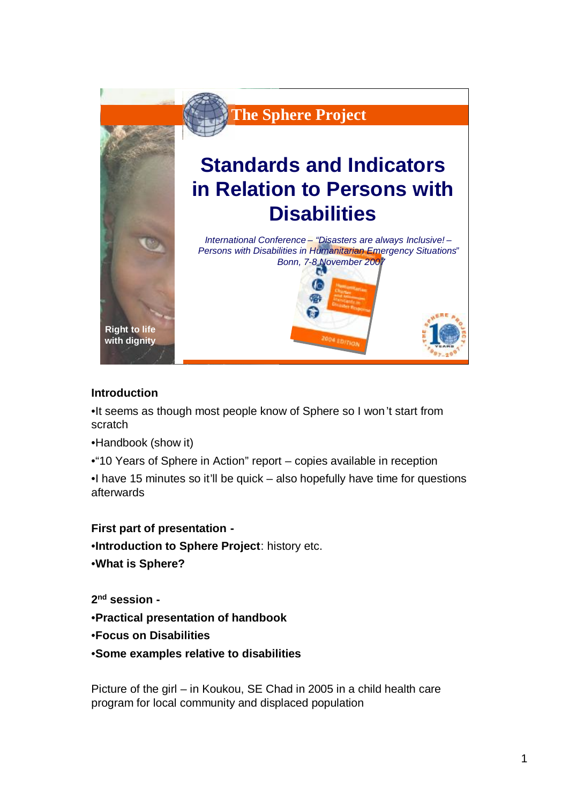

## **Introduction**

•It seems as though most people know of Sphere so I won't start from scratch

•Handbook (show it)

•"10 Years of Sphere in Action" report – copies available in reception

•I have 15 minutes so it'll be quick – also hopefully have time for questions afterwards

## **First part of presentation -**

•**Introduction to Sphere Project**: history etc.

•**What is Sphere?**

**2 nd session -**

- •**Practical presentation of handbook**
- •**Focus on Disabilities**
- •**Some examples relative to disabilities**

Picture of the girl – in Koukou, SE Chad in 2005 in a child health care program for local community and displaced population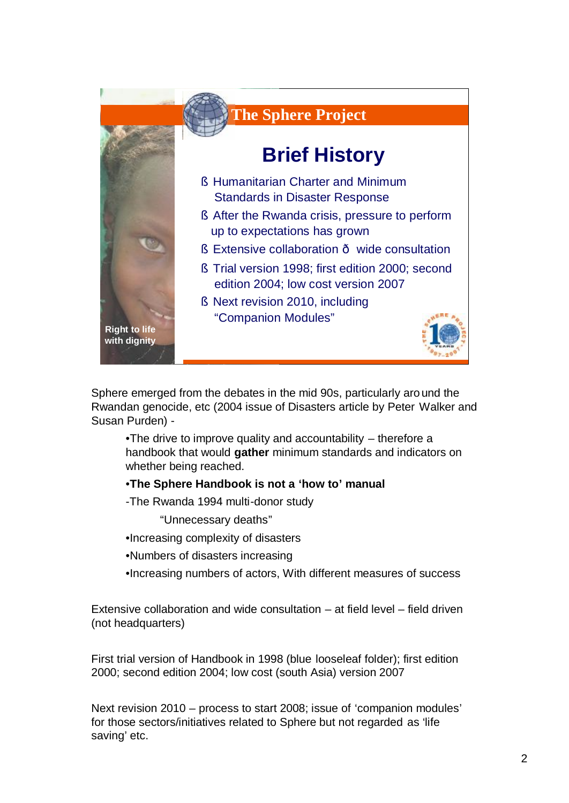

Sphere emerged from the debates in the mid 90s, particularly around the Rwandan genocide, etc (2004 issue of Disasters article by Peter Walker and Susan Purden) -

•The drive to improve quality and accountability – therefore a handbook that would **gather** minimum standards and indicators on whether being reached.

### •**The Sphere Handbook is not a 'how to' manual**

-The Rwanda 1994 multi-donor study

"Unnecessary deaths"

- •Increasing complexity of disasters
- •Numbers of disasters increasing
- •Increasing numbers of actors, With different measures of success

Extensive collaboration and wide consultation – at field level – field driven (not headquarters)

First trial version of Handbook in 1998 (blue looseleaf folder); first edition 2000; second edition 2004; low cost (south Asia) version 2007

Next revision 2010 – process to start 2008; issue of 'companion modules' for those sectors/initiatives related to Sphere but not regarded as 'life saving' etc.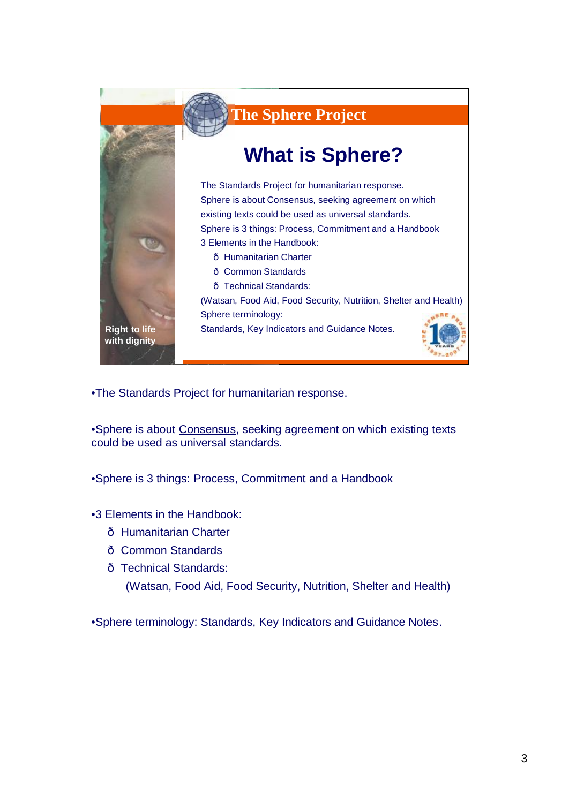

•The Standards Project for humanitarian response.

•Sphere is about Consensus, seeking agreement on which existing texts could be used as universal standards.

•Sphere is 3 things: Process, Commitment and a Handbook

- •3 Elements in the Handbook:
	- ð Humanitarian Charter
	- ð Common Standards
	- ð Technical Standards:

(Watsan, Food Aid, Food Security, Nutrition, Shelter and Health)

•Sphere terminology: Standards, Key Indicators and Guidance Notes.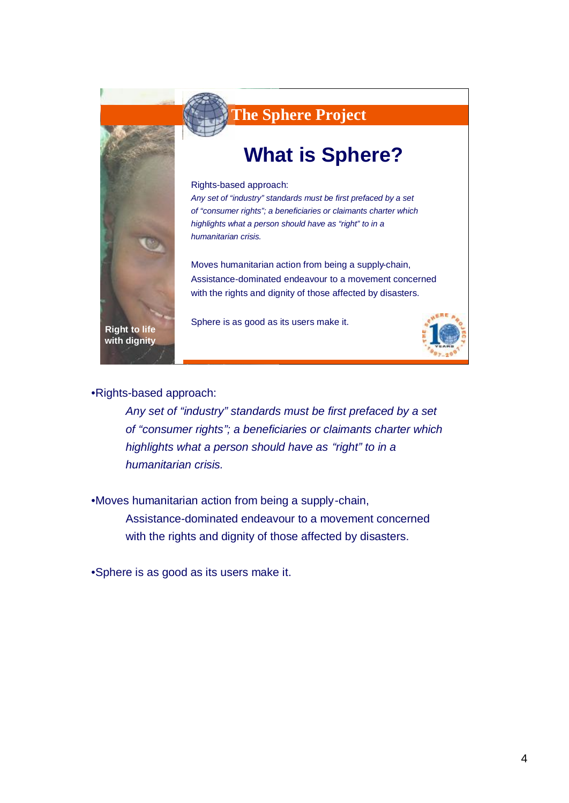

**The Sphere Project The Sphere Project**

# **What is Sphere?**

Rights-based approach:

*Any set of "industry" standards must be first prefaced by a set of "consumer rights"; a beneficiaries or claimants charter which highlights what a person should have as "right" to in a humanitarian crisis.*

Moves humanitarian action from being a supply-chain, Assistance-dominated endeavour to a movement concerned with the rights and dignity of those affected by disasters.

Sphere is as good as its users make it.



•Rights-based approach:

*Any set of "industry" standards must be first prefaced by a set of "consumer rights"; a beneficiaries or claimants charter which highlights what a person should have as "right" to in a humanitarian crisis.*

•Moves humanitarian action from being a supply-chain, Assistance-dominated endeavour to a movement concerned with the rights and dignity of those affected by disasters.

•Sphere is as good as its users make it.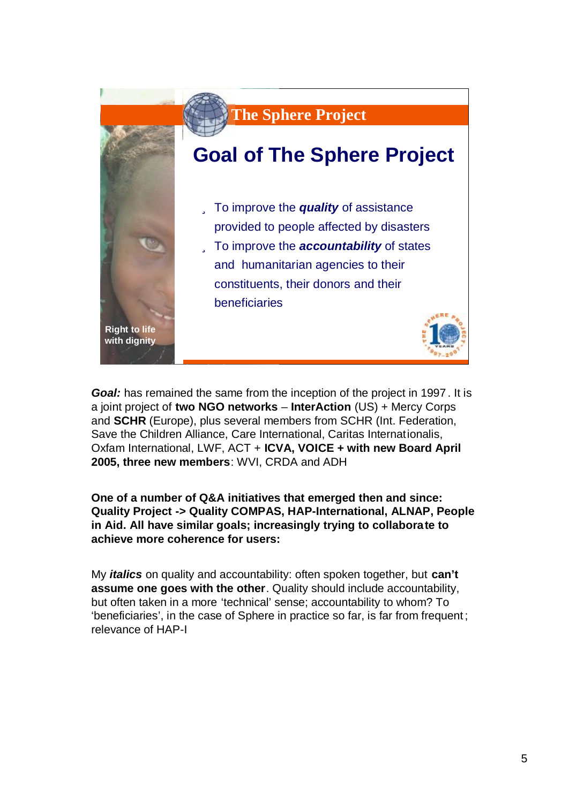

*Goal:* has remained the same from the inception of the project in 1997 . It is a joint project of **two NGO networks** – **InterAction** (US) + Mercy Corps and **SCHR** (Europe), plus several members from SCHR (Int. Federation, Save the Children Alliance, Care International, Caritas Internationalis, Oxfam International, LWF, ACT + **ICVA, VOICE + with new Board April 2005, three new members**: WVI, CRDA and ADH

**One of a number of Q&A initiatives that emerged then and since: Quality Project -> Quality COMPAS, HAP-International, ALNAP, People in Aid. All have similar goals; increasingly trying to collaborate to achieve more coherence for users:**

My *italics* on quality and accountability: often spoken together, but **can't assume one goes with the other**. Quality should include accountability, but often taken in a more 'technical' sense; accountability to whom? To 'beneficiaries', in the case of Sphere in practice so far, is far from frequent ; relevance of HAP-I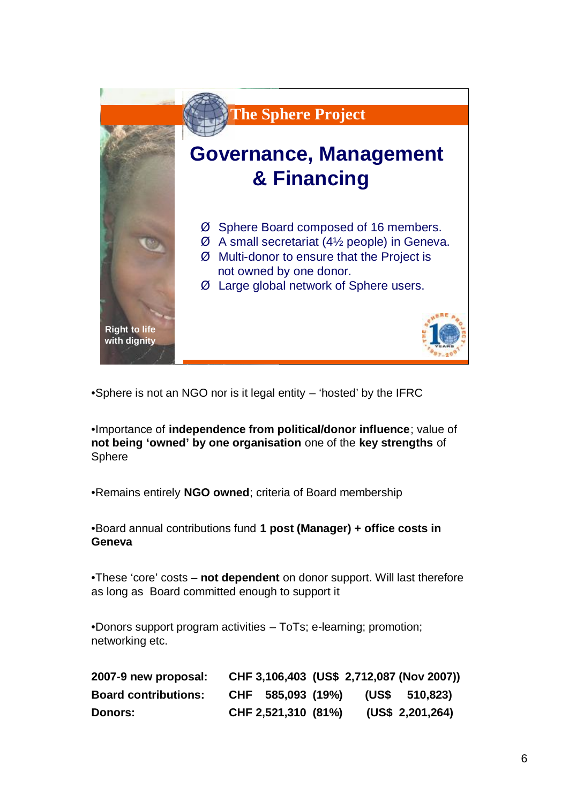

•Sphere is not an NGO nor is it legal entity – 'hosted' by the IFRC

•Importance of **independence from political/donor influence**; value of **not being 'owned' by one organisation** one of the **key strengths** of Sphere

•Remains entirely **NGO owned**; criteria of Board membership

•Board annual contributions fund **1 post (Manager) + office costs in Geneva**

•These 'core' costs – **not dependent** on donor support. Will last therefore as long as Board committed enough to support it

•Donors support program activities – ToTs; e-learning; promotion; networking etc.

| 2007-9 new proposal:        |                     |  | CHF 3,106,403 (US\$ 2,712,087 (Nov 2007)) |
|-----------------------------|---------------------|--|-------------------------------------------|
| <b>Board contributions:</b> | CHF 585,093 (19%)   |  | (USS 510,823)                             |
| <b>Donors:</b>              | CHF 2,521,310 (81%) |  | (US\$ 2,201,264)                          |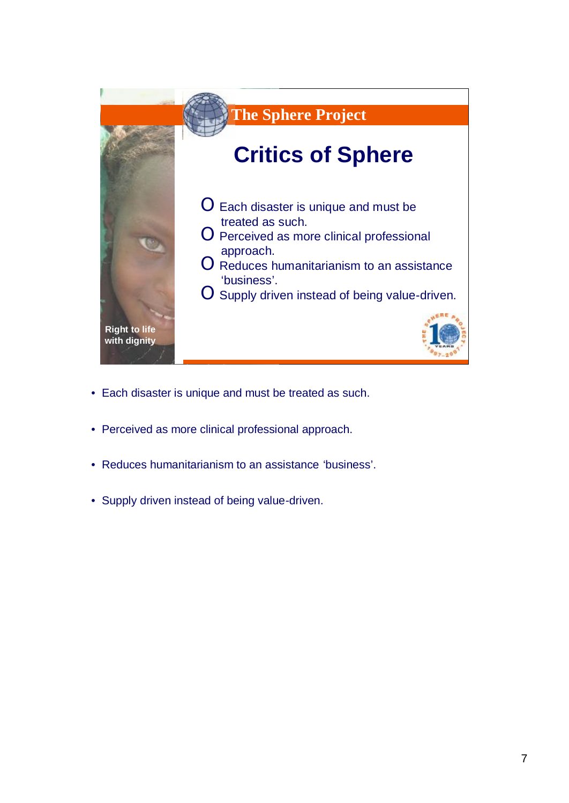

- Each disaster is unique and must be treated as such.
- Perceived as more clinical professional approach.
- Reduces humanitarianism to an assistance 'business'.
- Supply driven instead of being value-driven.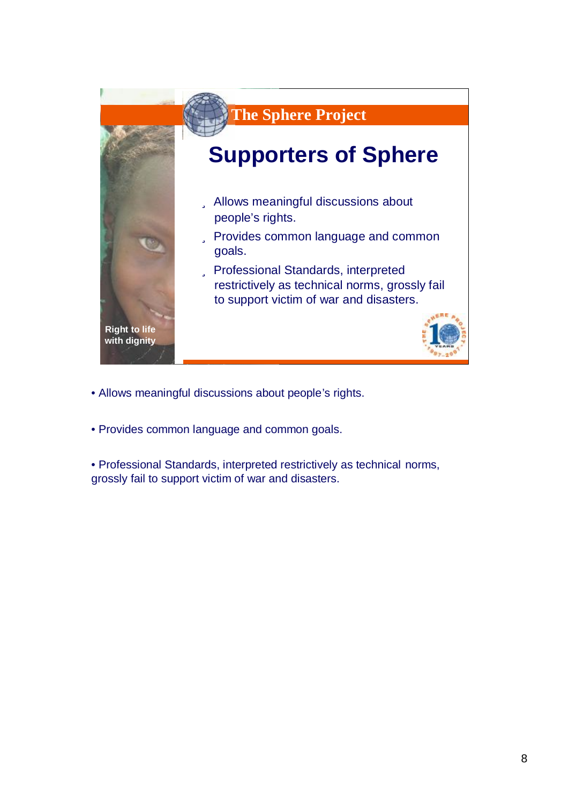

- Allows meaningful discussions about people's rights.
- Provides common language and common goals.
- Professional Standards, interpreted restrictively as technical norms, grossly fail to support victim of war and disasters.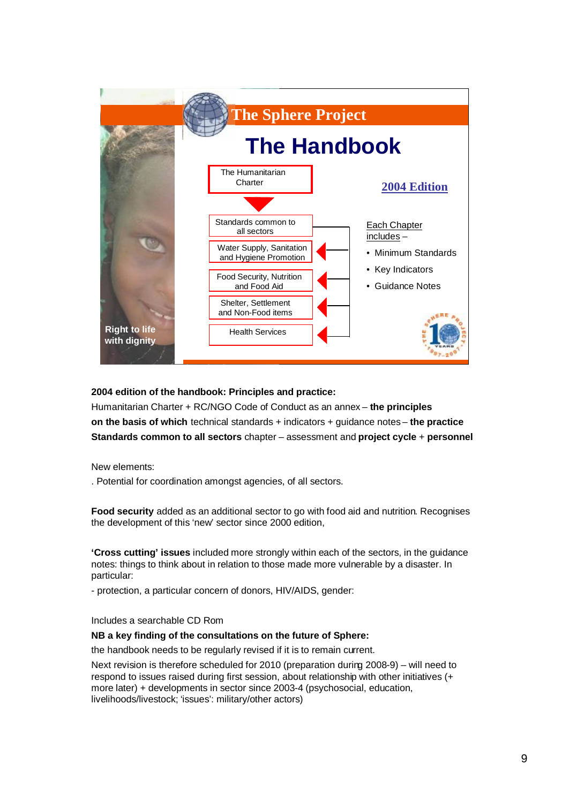

#### **2004 edition of the handbook: Principles and practice:**

Humanitarian Charter + RC/NGO Code of Conduct as an annex – **the principles on the basis of which** technical standards + indicators + guidance notes – **the practice Standards common to all sectors** chapter – assessment and **project cycle** + **personnel**

New elements:

. Potential for coordination amongst agencies, of all sectors.

**Food security** added as an additional sector to go with food aid and nutrition. Recognises the development of this 'new' sector since 2000 edition,

**'Cross cutting' issues** included more strongly within each of the sectors, in the guidance notes: things to think about in relation to those made more vulnerable by a disaster. In particular:

- protection, a particular concern of donors, HIV/AIDS, gender:

Includes a searchable CD Rom

### **NB a key finding of the consultations on the future of Sphere:**

the handbook needs to be regularly revised if it is to remain current.

Next revision is therefore scheduled for 2010 (preparation during 2008-9) – will need to respond to issues raised during first session, about relationship with other initiatives (+ more later) + developments in sector since 2003-4 (psychosocial, education, livelihoods/livestock; 'issues': military/other actors)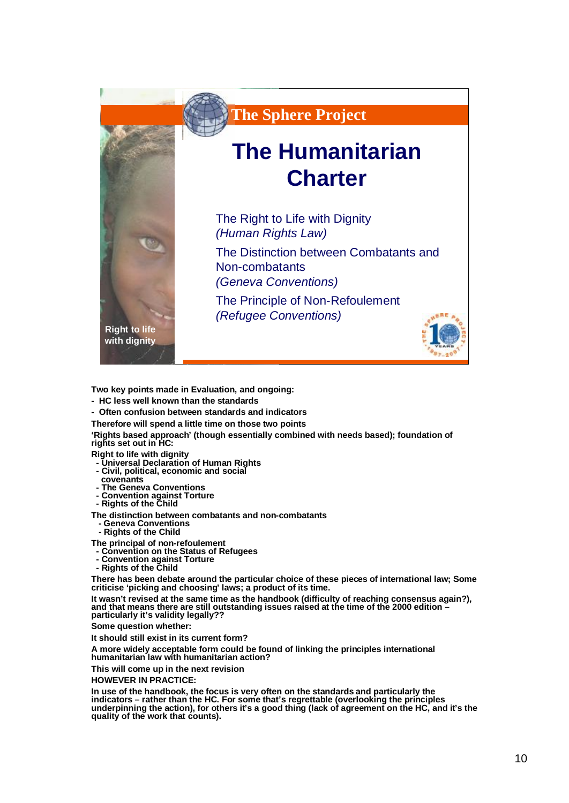

**Two key points made in Evaluation, and ongoing:** 

- **- HC less well known than the standards**
- **- Often confusion between standards and indicators**

**Therefore will spend a little time on those two points**

**'Rights based approach' (though essentially combined with needs based); foundation of rights set out in HC:**

**Right to life with dignity**

- **- Universal Declaration of Human Rights**
- **- Civil, political, economic and social**
- **covenants**
- **- The Geneva Conventions - Convention against Torture**

**- Rights of the Child**

**The distinction between combatants and non-combatants**

- **- Geneva Conventions**
- **- Rights of the Child**

**The principal of non-refoulement**

- **- Convention on the Status of Refugees**
- **- Convention against Torture**
- **- Rights of the Child**

**There has been debate around the particular choice of these pieces of international law; Some criticise 'picking and choosing' laws; a product of its time.**

**It wasn't revised at the same time as the handbook (difficulty of reaching consensus again?), and that means there are still outstanding issues raised at the time of the 2000 edition – particularly it's validity legally??**

**Some question whether:**

**It should still exist in its current form?** 

**A more widely acceptable form could be found of linking the principles international humanitarian law with humanitarian action?** 

**This will come up in the next revision**

**HOWEVER IN PRACTICE:**

**In use of the handbook, the focus is very often on the standards and particularly the indicators – rather than the HC. For some that's regrettable (overlooking the principles underpinning the action), for others it's a good thing (lack of agreement on the HC, and it's the quality of the work that counts).**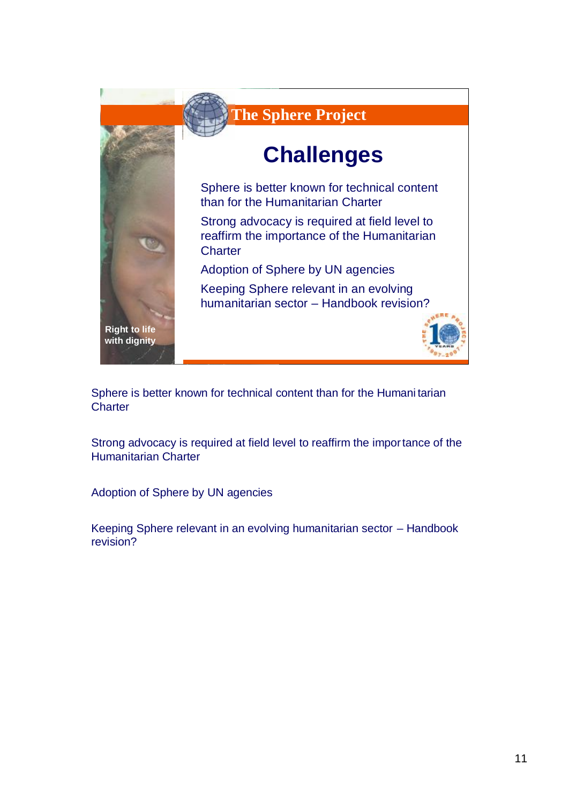

Sphere is better known for technical content than for the Humani tarian **Charter** 

Strong advocacy is required at field level to reaffirm the importance of the Humanitarian Charter

Adoption of Sphere by UN agencies

Keeping Sphere relevant in an evolving humanitarian sector – Handbook revision?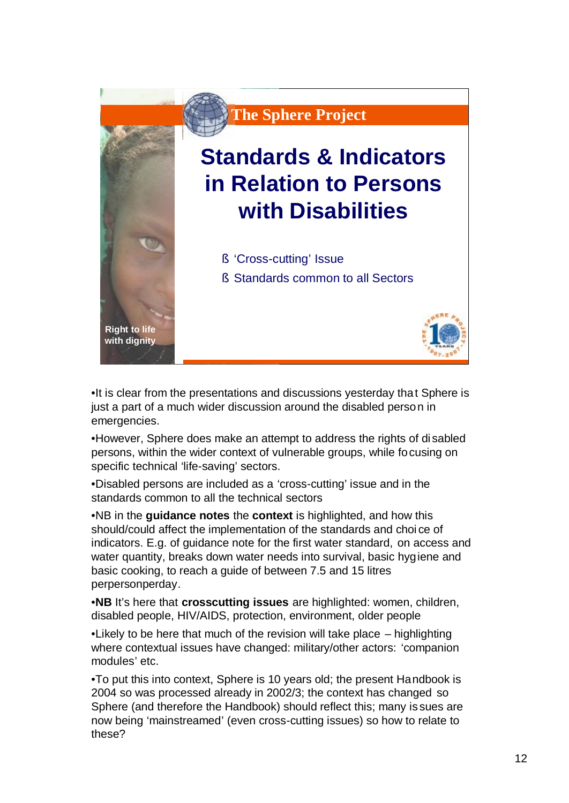

•It is clear from the presentations and discussions yesterday that Sphere is just a part of a much wider discussion around the disabled person in emergencies.

•However, Sphere does make an attempt to address the rights of di sabled persons, within the wider context of vulnerable groups, while focusing on specific technical 'life-saving' sectors.

•Disabled persons are included as a 'cross-cutting' issue and in the standards common to all the technical sectors

•NB in the **guidance notes** the **context** is highlighted, and how this should/could affect the implementation of the standards and choi ce of indicators. E.g. of guidance note for the first water standard, on access and water quantity, breaks down water needs into survival, basic hygiene and basic cooking, to reach a guide of between 7.5 and 15 litres perpersonperday.

•**NB** It's here that **crosscutting issues** are highlighted: women, children, disabled people, HIV/AIDS, protection, environment, older people

•Likely to be here that much of the revision will take place – highlighting where contextual issues have changed: military/other actors: 'companion modules' etc.

•To put this into context, Sphere is 10 years old; the present Handbook is 2004 so was processed already in 2002/3; the context has changed so Sphere (and therefore the Handbook) should reflect this; many is sues are now being 'mainstreamed' (even cross-cutting issues) so how to relate to these?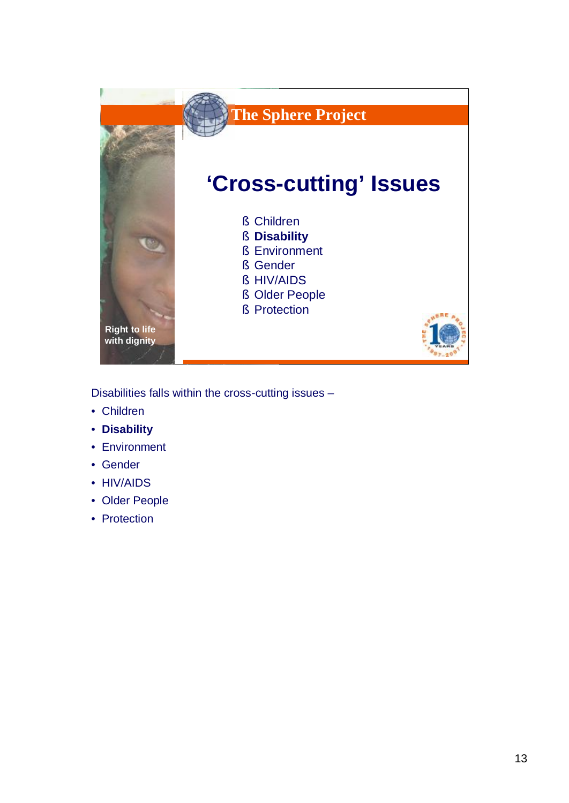

Disabilities falls within the cross-cutting issues –

- Children
- **Disability**
- Environment
- Gender
- HIV/AIDS
- Older People
- Protection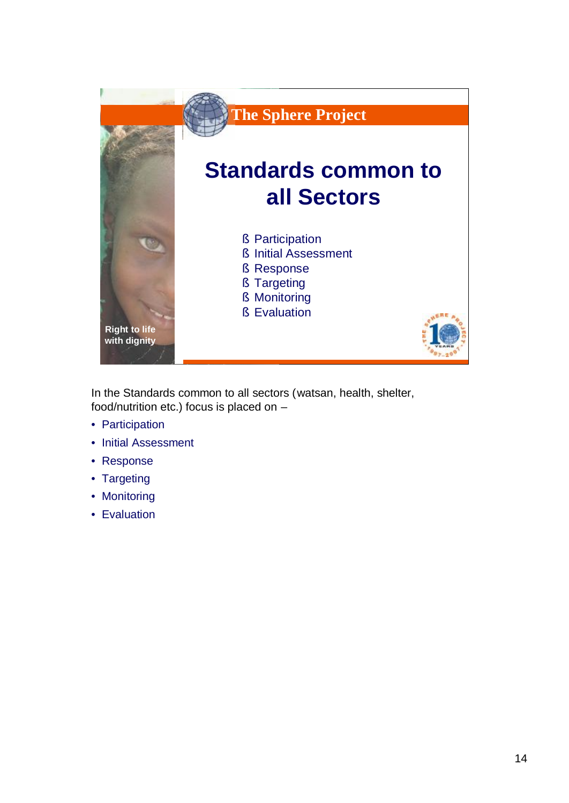

In the Standards common to all sectors (watsan, health, shelter, food/nutrition etc.) focus is placed on –

- Participation
- Initial Assessment
- Response
- Targeting
- Monitoring
- Evaluation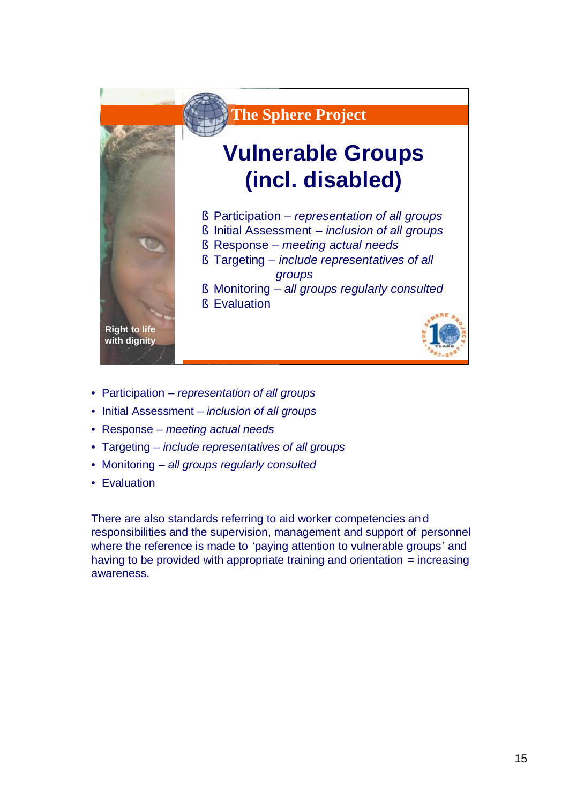

- Participation *representation of all groups*
- Initial Assessment *inclusion of all groups*
- Response *meeting actual needs*
- Targeting *include representatives of all groups*
- Monitoring *all groups regularly consulted*
- Evaluation

There are also standards referring to aid worker competencies an d responsibilities and the supervision, management and support of personnel where the reference is made to 'paying attention to vulnerable groups' and having to be provided with appropriate training and orientation  $=$  increasing awareness.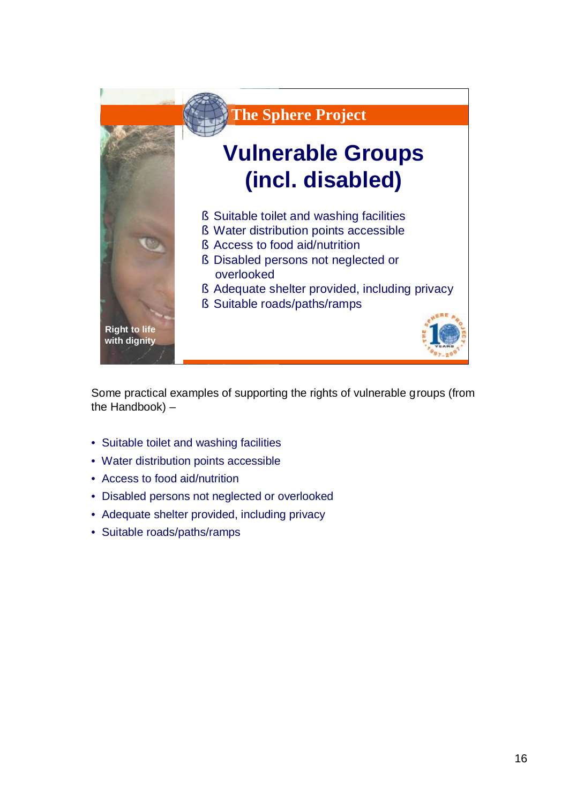

Some practical examples of supporting the rights of vulnerable groups (from the Handbook) –

- Suitable toilet and washing facilities
- Water distribution points accessible
- Access to food aid/nutrition
- Disabled persons not neglected or overlooked
- Adequate shelter provided, including privacy
- Suitable roads/paths/ramps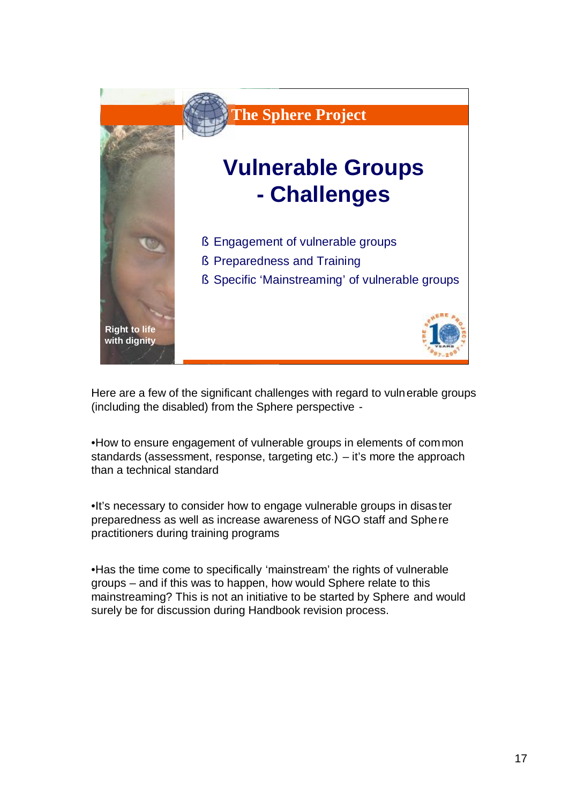

Here are a few of the significant challenges with regard to vulnerable groups (including the disabled) from the Sphere perspective -

•How to ensure engagement of vulnerable groups in elements of common standards (assessment, response, targeting etc.) – it's more the approach than a technical standard

•It's necessary to consider how to engage vulnerable groups in disas ter preparedness as well as increase awareness of NGO staff and Sphere practitioners during training programs

•Has the time come to specifically 'mainstream' the rights of vulnerable groups – and if this was to happen, how would Sphere relate to this mainstreaming? This is not an initiative to be started by Sphere and would surely be for discussion during Handbook revision process.